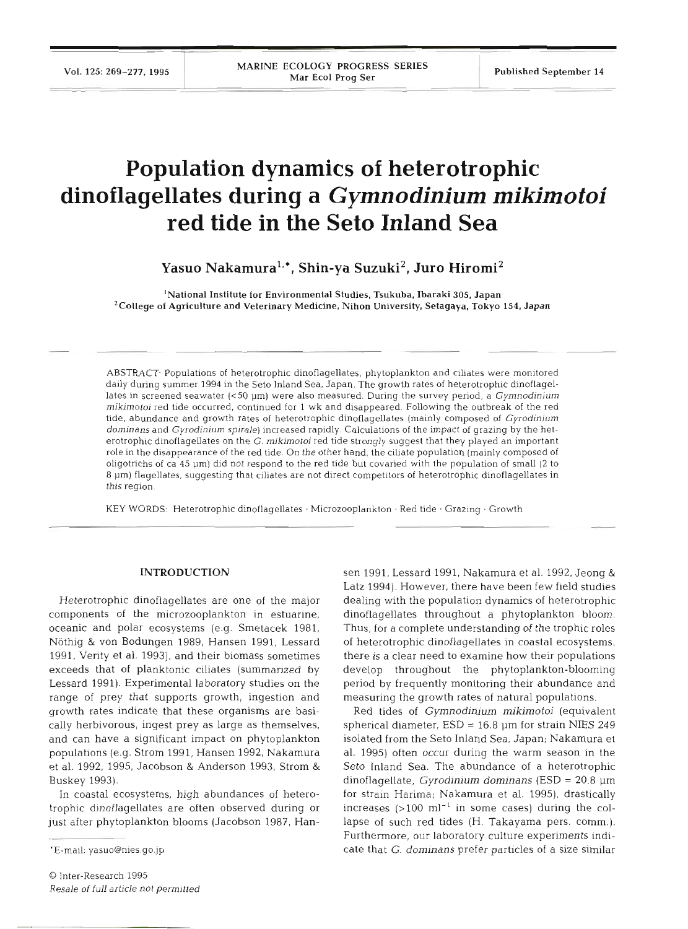# **Population dynamics of heterotrophic dinoflagellates during a** *Gymnodinium mikimotoi*  **red tide in the Seto Inland Sea**

Yasuo Nakamura<sup>1,\*</sup>, Shin-ya Suzuki<sup>2</sup>, Juro Hiromi<sup>2</sup>

'National Institute for Environmental Studies, Tsukuba, Ibaraki 305, Japan 'college of Agriculture and Veterinary Medicine, Nihon University, Setagaya, Tokyo **154,** Japan

ABSTRACT. Populations of heterotrophic dinoflagellates, phytoplankton and ciliates were monitored daily during summer 1994 in the Seto Inland Sea. Japan. The growth rates of heterotrophic dinoflagellates in screened seawater (c50 pm) were also measured. During the survey period, a *Gymnodinium milumotoi* red tide occurred, continued for 1 wk and disappeared. Following the outbreak of the red tide, abundance and growth rates of heterotrophic dinoflagellates (mainly composed of *Gyrodinium dominans* and *Gyrodinium spirale)* increased rapidly. Calculations of the impact of grazing by the heterotrophic dinoflagellates on the G. *mjkjmotoi* red tide strongly suggest that they played an important role in the disappearance of the red tide. On the other hand, the ciliate population (mainly composed of oligotrichs of ca 45 pm) did not respond to the red tide but covaried with the population of small **(2** to **8** pm) flagellates, suggesting that ciliates are not direct competitors of heterotrophic dinoflagellates in this region.

KEY WORDS: Heterotrophic dinoflagellates · Microzooplankton · Red tide · Grazing · Growth

#### **INTRODUCTION**

Heterotrophic dinoflagellates are one of the major components of the microzooplankton in estuarine, oceanic and polar ecosystems (e.g. Smetacek 1981, Nöthig & von Bodungen 1989, Hansen 1991, Lessard 1991, Verity et al. 1993), and their biomass sometimes exceeds that of planktonic ciliates (summarized by Lessard 1991). Experimental laboratory studies on the range of prey that supports growth, ingestion and growth rates indicate that these organisms are basically herbivorous, ingest prey as large as themselves, and can have a significant impact on phytoplankton populations (e.g. Strom 1991, Hansen 1992, Nakamura et al. 1992, 1995, Jacobson & Anderson 1993, Strom & Buskey 1993).

In coastal ecosystems, high abundances of heterotrophic dinoflagellates are often observed during or just after phytoplankton blooms (Jacobson 1987, Han-

 $\odot$  Inter-Research 199: *Resale* of **full** *article not permitted*  sen 1991, Lessard 1991, Nakamura et al. 1992, Jeong &

Latz 1994). However, there have been few field studies<br>dealing with the population dynamics of heterotrophic<br>dinoflagellates throughout a phytoplankton bloom<br>Thus, for a complete understanding of the trophic roles<br>of hete Furthermore, our laboratory culture experiments indicate that *G. dominans* prefer particles of a size similar

<sup>\*</sup>E-mail: yasuo@nies.go.jp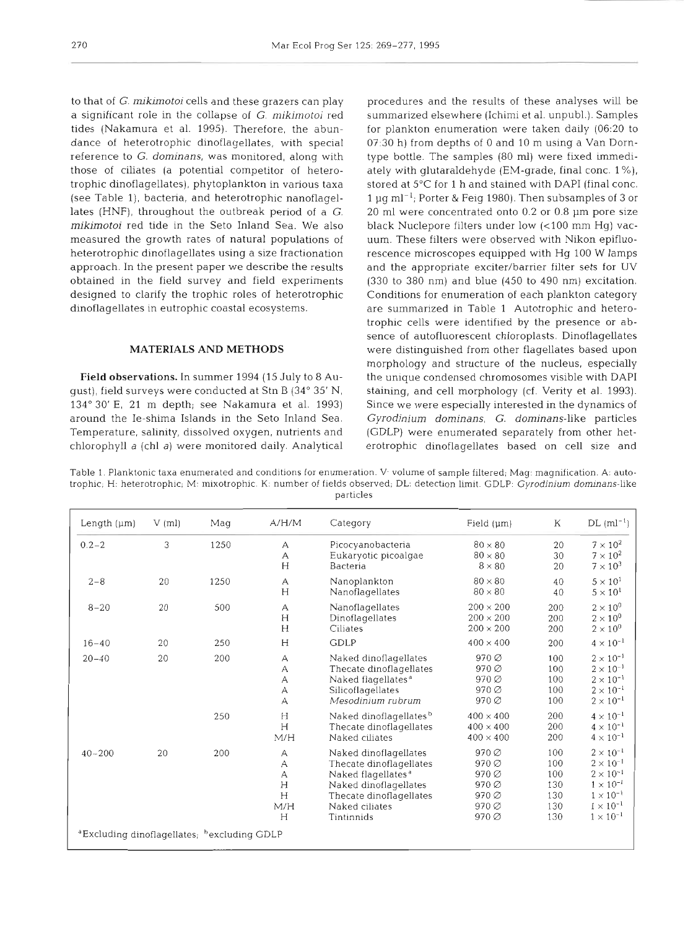to that of G. mikimotoi cells and these grazers can play a significant role in the collapse of  $G$ . mikimotoi red tides (Nakamura et al. 1995). Therefore, the abundance of heterotrophic dinoflagellates, with special reference to G. dominans, was monitored, along with those of ciliates (a potential competitor of heterotrophic dinoflagellates), phytoplankton in various taxa (see Table 1), bacteria, and heterotrophic nanoflagellates (HNF), throughout the outbreak period of a G. mikinotoi red tide in the Seto Inland Sea. We also measured the growth rates of natural populations of heterotrophic dinoflagellates using a size fractionation approach. In the present paper we describe the results obtained in the field survey and field experiments designed to clarify the trophic roles of heterotrophic dinoflagellates in eutrophic coastal ecosystems.

## **MATERIALS AND METHODS**

**Field observations.** In summer 1994 (15 July to 8 August), field surveys were conducted at Stn B (34" 35' N, 134" 30' E, 21 m depth; see Nakamura et al. 1993) around the Ie-shima Islands in the Seto Inland Sea. Temperature, salinity, dissolved oxygen, nutrients and chlorophyll a (chl a) were monitored daily. Analytical procedures and the results of these analyses will be summarized elsewhere (Ichimi et al. unpubl.). Samples for plankton enumeration were taken daily (06:20 to 07:30 h) from depths of 0 and 10 m using a Van Dorntype bottle. The samples (80 ml) were fixed immediately with glutaraldehyde (EM-grade, final conc. 1 %), stored at 5'C for 1 h and stained with DAPI (final conc. 1 µg ml<sup>-1</sup>; Porter & Feig 1980). Then subsamples of 3 or 20 m1 were concentrated onto 0.2 or 0.8 pm pore size black Nuclepore filters under low (<100 mm Hg) vacuum. These filters were observed with Nikon epifluorescence microscopes equipped with Hg 100 W lamps and the appropriate exciter/barrier filter sets for UV (330 to 380 nm) and blue (450 to 490 nm) excitation. Conditions for enumeration of each plankton category are summarized in Table 1 Autotrophic and heterotrophic cells were identified by the presence or absence of autofluorescent chloroplasts. Dinoflagellates were distinguished from other flagellates based upon morphology and structure of the nucleus, especially the unique condensed chromosomes visible with DAPI staining, and cell morphology (cf. Verity et al. 1993). Since we were especially interested in the dynamics of Gyrodinium dominans, G. dominans-like particles (GDLP) were enumerated separately from other heterotrophic dinoflagellates based on cell size and

Table 1. Planktonic taxa enumerated and conditions for enumeration. V. volume of sample filtered; Mag: magnification. A: autotrophic; H: heterotrophic; M: mixotrophic. K: number of fields observed; DL: detection limit. GDLP: Gyrodinium dominans-like particles

| Length $(\mu m)$                                                    | $V$ (ml) | Mag  | A/H/M                                          | Field $(\mu m)$<br>Category                                                                                                                                            |                                                                        | K                                             | $DL (ml^{-1})$                                                                                                                                         |
|---------------------------------------------------------------------|----------|------|------------------------------------------------|------------------------------------------------------------------------------------------------------------------------------------------------------------------------|------------------------------------------------------------------------|-----------------------------------------------|--------------------------------------------------------------------------------------------------------------------------------------------------------|
| $0.2 - 2$                                                           | 3        | 1250 | А<br>А<br>$H_{\rm}$                            | $80 \times 80$<br>Picocyanobacteria<br>$80 \times 80$<br>Eukaryotic picoalgae<br>$8 \times 80$<br>Bacteria                                                             |                                                                        | 20<br>30<br>20                                | $7 \times 10^2$<br>$7 \times 10^2$<br>$7 \times 10^3$                                                                                                  |
| $2 - 8$                                                             | 20       | 1250 | А<br>H                                         | Nanoplankton<br>Nanoflagellates                                                                                                                                        | $80 \times 80$<br>$80 \times 80$                                       | 40<br>40                                      | $5 \times 10^{1}$<br>$5 \times 10^1$                                                                                                                   |
| $8 - 20$                                                            | 20       | 500  | А<br>H<br>H                                    | $200 \times 200$<br>Nanoflagellates<br>$200 \times 200$<br>Dinoflagellates<br>$200 \times 200$<br>Ciliates                                                             |                                                                        | 200<br>200<br>200                             | $2 \times 10^{0}$<br>$2 \times 10^{0}$<br>$2 \times 10^{0}$                                                                                            |
| $16 - 40$                                                           | 20       | 250  | H                                              | <b>GDLP</b>                                                                                                                                                            | $400 \times 400$                                                       | 200                                           | $4 \times 10^{-1}$                                                                                                                                     |
| $20 - 40$                                                           | 20       | 200  | А<br>А<br>А<br>А<br>А                          | Naked dinoflagellates<br>Thecate dinoflagellates<br>Naked flagellates <sup>a</sup><br>Silicoflagellates<br>Mesodinium rubrum                                           | 970 ∅<br>970 ∅<br>$970\varnothing$<br>970 Ø<br>970 ∅                   | 100<br>100<br>100<br>100<br>100               | $2\times10^{-1}$<br>$2 \times 10^{-1}$<br>$2 \times 10^{-1}$<br>$2 \times 10^{-1}$<br>$2\times10^{-1}$                                                 |
|                                                                     |          | 250  | H<br>H<br>M/H                                  | Naked dinoflagellates <sup>b</sup><br>Thecate dinoflagellates<br>Naked ciliates                                                                                        | $400 \times 400$<br>$400 \times 400$<br>$400 \times 400$               | 200<br>200<br>200                             | $4 \times 10^{-1}$<br>$4 \times 10^{-1}$<br>$4 \times 10^{-1}$                                                                                         |
| $40 - 200$                                                          | 20       | 200  | А<br>А<br>$\overline{A}$<br>H<br>H<br>M/H<br>Н | Naked dinoflagellates<br>Thecate dinoflagellates<br>Naked flagellates <sup>a</sup><br>Naked dinoflagellates<br>Thecate dinoflagellates<br>Naked ciliates<br>Tintinnids | 970 ∅<br>$970\varnothing$<br>970 ∅<br>970 ∅<br>970 ∅<br>970 Ø<br>970 ∅ | 100<br>100<br>100<br>130<br>130<br>130<br>130 | $2 \times 10^{-1}$<br>$2 \times 10^{-1}$<br>$2 \times 10^{-1}$<br>$1 \times 10^{-1}$<br>$1 \times 10^{-1}$<br>$1 \times 10^{-1}$<br>$1 \times 10^{-1}$ |
| <sup>a</sup> Excluding dinoflagellates; <sup>b</sup> excluding GDLP |          |      |                                                |                                                                                                                                                                        |                                                                        |                                               |                                                                                                                                                        |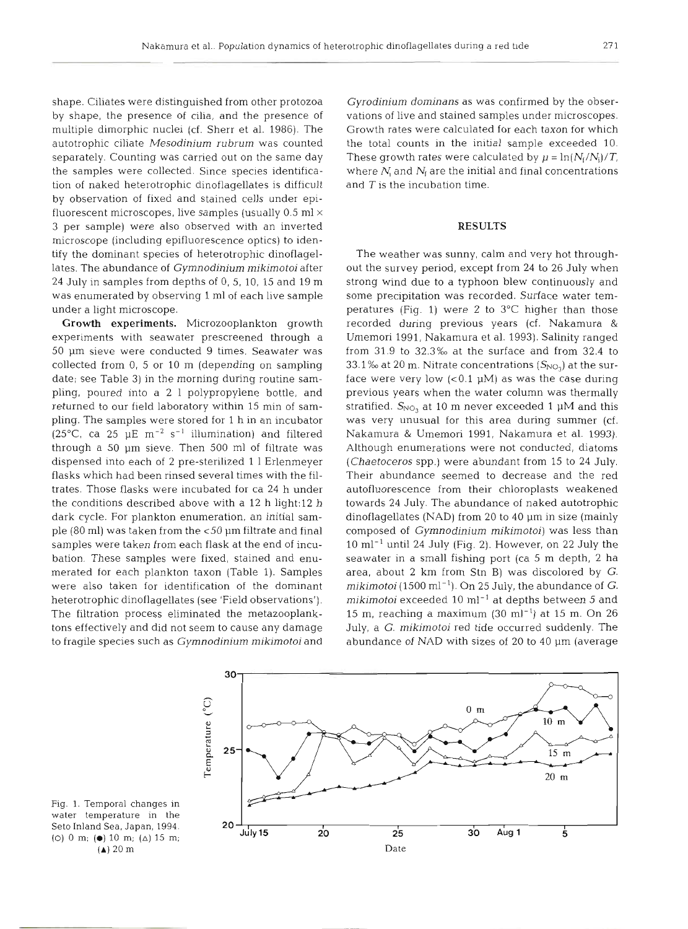shape. Ciliates were distinguished from other protozoa by shape, the presence of cilia, and the presence of multiple dimorphic nuclei (cf. Sherr et al. 1986). The autotrophic ciliate *Mesodinium rubrum* was counted separately. Counting was carried out on the same day the samples were collected. Since species identification of naked heterotrophic dinoflagellates is difficult by observation of fixed and stained cells under epifluorescent microscopes, live samples (usually 0.5 m1 **<sup>X</sup>** 3 per sample) were also observed with an inverted microscope (including epifluorescence optics) to identify the dominant species of heterotrophic dinoflagellates. The abundance of *Gymnodinium mikimotoi* after 24 July in samples from depths of 0, 5, 10, 15 and 19 m was enumerated by observing 1 m1 of each live sample under a light microscope.

**Growth experiments.** Microzooplankton growth experiments with seawater prescreened through a 50 pm sieve were conducted 9 times. Seawater was collected from 0, 5 or 10 m (depending on sampling date; see Table 3) in the morning during routine sampling, poured into a 2 1 polypropylene bottle, and returned to our field laboratory within 15 min of sampling. The samples were stored for 1 h in an incubator (25°C, ca 25  $\mu$ E m<sup>-2</sup> s<sup>-1</sup> illumination) and filtered through a 50 pm sieve. Then 500 m1 of filtrate was dispensed into each of 2 pre-sterilized 1 1 Erlenmeyer flasks which had been rinsed several times with the filtrates. Those flasks were incubated for ca 24 h under the conditions described above with a 12 h light:12 h dark cycle. For plankton enumeration, an initial sample (80 ml) was taken from the <50 µm filtrate and final samples were taken from each flask at the end of incubation. These samples were fixed, stained and enumerated for each plankton taxon (Table 1). Samples were also taken for identification of the dominant heterotrophic dinoflagellates (see 'Field observations'). The filtration process eliminated the metazooplanktons effectively and did not seem to cause any damage to fragile species such as *Gymnodinium mikimotoi* and *Gyrodinium dominans* as was confirmed by the observations of live and stained samples under microscopes. Growth rates were calculated for each taxon for which the total counts in the initial sample exceeded 10. These growth rates were calculated by  $\mu = \ln(N_f/N_i)/T_c$ where  $N_i$  and  $N_f$  are the initial and final concentrations and  $T$  is the incubation time.

### **RESULTS**

The weather was sunny, calm and very hot throughout the survey period, except from 24 to 26 July when strong wind due to a typhoon blew continuously and some precipitation was recorded. Surface water temperatures (Fig. 1) were 2 to 3°C higher than those recorded during previous years (cf. Nakamura & Umemori 1991, Nakamura et al. 1993). Salinity ranged from  $31.9$  to  $32.3\%$  at the surface and from  $32.4$  to 33.1  $\%$  at 20 m. Nitrate concentrations  $(S_{NO<sub>3</sub>})$  at the surface were very low  $( $0.1 \mu M$ )$  as was the case during previous years when the water column was thermally stratified.  $S_{NO<sub>2</sub>}$  at 10 m never exceeded 1  $\mu$ M and this was very unusual for this area during summer (cf. Nakamura & Umemori 1991, Nakamura et al. 1993). Although enumerations were not conducted, diatoms *(Chaetoceros* spp.) were abundant from 15 to 24 July. Their abundance seemed to decrease and the red autofluorescence from their chloroplasts weakened towards 24 July. The abundance of naked autotrophic dinoflagellates (NAD) from 20 to 40 pm in size (mainly composed of *Gymnodinium mikimotoi)* was less than  $10 \text{ ml}^{-1}$  until 24 July (Fig. 2). However, on 22 July the seawater in a small fishing port (ca 5 m depth, 2 ha area, about 2 km from Stn B) was discolored by *G.*   $mikimotoi$  (1500 ml<sup>-1</sup>). On 25 July, the abundance of *G*. *mikimotoi* exceeded 10 ml-' at depths between 5 and 15 m, reaching a maximum (30 ml $^{-1}$ ) at 15 m. On 26 July, a G. *mikimotoi* red tide occurred suddenly. The abundance of NAD with sizes of 20 to 40 µm (average



Fig. 1. Temporal changes in water temperature in the Seto Inland Sea, Japan, 1994 (0) 0 m; **(m)** 10 m; **(A)** 15 m; (A) 20 m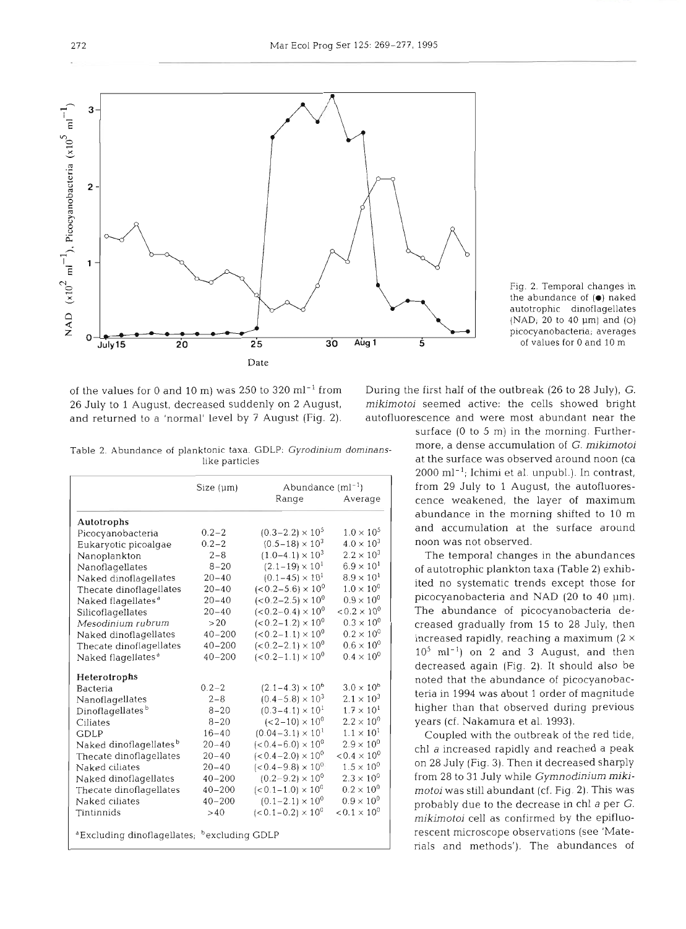of the values for 0 and 10 m) was 250 to 320 ml<sup>-1</sup> from During the first half of the outbreak (26 to 28 July), G. 26 July to 1 August, decreased suddenly on 2 August, *mikimotoi* seemed active: the cells showed bright and returned to a 'normal' level by 7 August (Fig. 2). autofluorescence and were most abundant near the

|                                                                     | Size $(\mu m)$ | Abundance $(ml^{-1})$         |                       |  |
|---------------------------------------------------------------------|----------------|-------------------------------|-----------------------|--|
|                                                                     |                | Range                         | Average               |  |
| Autotrophs                                                          |                |                               |                       |  |
| Picocyanobacteria                                                   | $0.2 - 2$      | $(0.3-2.2) \times 10^5$       | $1.0 \times 10^{5}$   |  |
| Eukaryotic picoalgae                                                | $0.2 - 2$      | $(0.5-18) \times 10^3$        | $4.0 \times 10^{3}$   |  |
| Nanoplankton                                                        | $2 - 8$        | $(1.0-4.1) \times 10^3$       | $2.2 \times 10^{3}$   |  |
| Nanoflagellates                                                     | $8 - 20$       | $(2.1 - 19) \times 10^{1}$    | $6.9 \times 10^{1}$   |  |
| Naked dinoflagellates                                               | $20 - 40$      | $(0.1 - 45) \times 10^{1}$    | $8.9 \times 10^{1}$   |  |
| Thecate dinoflagellates                                             | $20 - 40$      | $(< 0.2 - 5.6) \times 10^{0}$ | $1.0 \times 10^{0}$   |  |
| Naked flagellates <sup>a</sup>                                      | $20 - 40$      | $(<0.2-2.5) \times 10^{0}$    | $0.9 \times 10^{0}$   |  |
| Silicoflagellates                                                   | $20 - 40$      | $(<0.2-0.4) \times 10^{0}$    | $0.2 \times 10^{0}$   |  |
| Mesodinium rubrum                                                   | >20            | $(< 0.2 - 1.2) \times 10^{0}$ | $0.3 \times 10^{0}$   |  |
| Naked dinoflagellates                                               | $40 - 200$     | $(< 0.2 - 1.1) \times 10^{0}$ | $0.2 \times 10^{0}$   |  |
| Thecate dinoflagellates                                             | $40 - 200$     | $(<0.2-2.1) \times 10^{0}$    | $0.6 \times 10^{0}$   |  |
| Naked flagellates <sup>®</sup>                                      | $40 - 200$     | $(<0.2-1.1) \times 10^{0}$    | $0.4 \times 10^{0}$   |  |
| Heterotrophs                                                        |                |                               |                       |  |
| Bacteria                                                            | $0.2 - 2$      | $(2.1 - 4.3) \times 10^{6}$   | $3.0 \times 10^{6}$   |  |
| Nanoflagellates                                                     | $2 - 8$        | $(0.4-5.8) \times 10^3$       | $2.1 \times 10^{3}$   |  |
| Dinoflagellates <sup>b</sup>                                        | $8 - 20$       | $(0.3-4.1) \times 10^{1}$     | $1.7 \times 10^{1}$   |  |
| Ciliates                                                            | $8 - 20$       | $(<2-10) \times 10^{0}$       | $2.2 \times 10^{0}$   |  |
| <b>GDLP</b>                                                         | $16 - 40$      | $(0.04 - 3.1) \times 10^{1}$  | $1.1 \times 10^{1}$   |  |
| Naked dinoflagellates <sup>b</sup>                                  | $20 - 40$      | $(< 0.4 - 6.0) \times 10^{0}$ | $2.9 \times 10^{0}$   |  |
| Thecate dinoflagellates                                             | $20 - 40$      | $(<0.4-2.0) \times 10^{0}$    | $< 0.4 \times 10^{0}$ |  |
| Naked ciliates                                                      | $20 - 40$      | $(<0.4-9.8) \times 10^{0}$    | $1.5 \times 10^{0}$   |  |
| Naked dinoflagellates                                               | $40 - 200$     | $(0.2 - 9.2) \times 10^{0}$   | $2.3 \times 10^{0}$   |  |
| Thecate dinoflagellates                                             | $40 - 200$     | $(< 0.1 - 1.0) \times 10^{0}$ | $0.2 \times 10^{0}$   |  |
| Naked ciliates                                                      | $40 - 200$     | $(0.1-2.1) \times 10^{0}$     | $0.9 \times 10^{0}$   |  |
| Tintinnids                                                          | >40            | $(< 0.1 - 0.2) \times 10^{0}$ | $< 0.1 \times 10^{0}$ |  |
| <sup>a</sup> Excluding dinoflagellates; <sup>b</sup> excluding GDLP |                |                               |                       |  |

Fig. 2. Temporal changes in the abundance of **(e)** naked autotrophic dinoflagellates (NAD; 20 to 40 **pm)** and (0) picocyanobacteria; averages of values for 0 and 10 m

surface (0 to 5 m) in the morning. Further-Table 2. Abundance of planktonic taxa. GDLP: Gyrodinium dominans- more, a dense accumulation of G. mikimotoi like particles at the surface was observed around noon (ca  $2000 \text{ ml}^{-1}$ ; Ichimi et al. unpubl.). In contrast, from 29 July to 1 August, the autofluorescence weakened, the layer of maximum abundance in the morning shifted to 10 m and accumulation at the surface around noon was not observed.

> The temporal changes in the abundances of autotrophic plankton taxa (Table 2) exhibited no systematic trends except those for picocyanobacteria and NAD (20 to 40 µm). The abundance of picocyanobacteria decreased gradually from 15 to 28 July, then increased rapidly, reaching a maximum (2 **<sup>X</sup>**  $10^5$  ml<sup>-1</sup>) on 2 and 3 August, and then decreased again (Fig. 2). It should also be noted that the abundance of picocyanobacteria in 1994 was about 1 order of magnitude higher than that observed during previous years (cf. Nakamura et al. 1993).

> Coupled with the outbreak of the red tide, chl a increased rapidly and reached a peak on 28 July (Fig. 3). Then it decreased sharply from 28 to 31 July while **Gymnodinium** *mikimotoi* was still abundant (cf. Fig. 2). This was probably due to the decrease in chl a per G. *mikimotoi* cell as confirmed by the epifluorescent microscope observations (see 'Materials and methods'). The abundances of

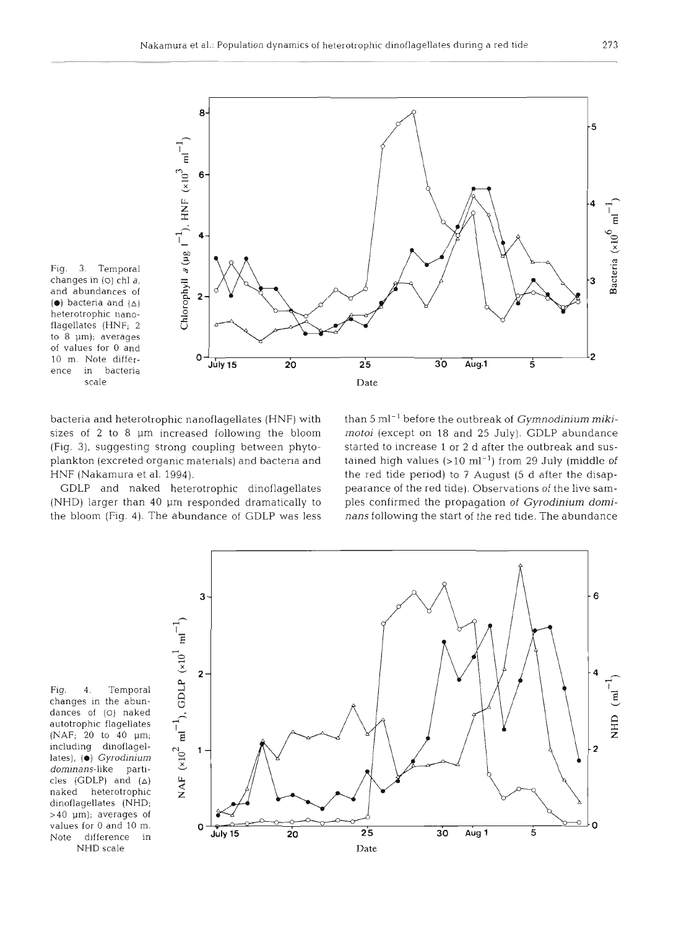

bacteria and heterotrophic nanoflagellates (HNF) with sizes of **2** to 8 pm increased following the bloom (Fig. 3), suggesting strong coupling between phytoplankton (excreted organic materials) and bacteria and HNF (Nakamura et al. 1994).

GDLP and naked heterotrophic dinoflagellates (NHD) larger than 40 µm responded dramatically to the bloom (Fig. 4). The abundance of GDLP was less than 5 ml<sup>-1</sup> before the outbreak of *Gymnodinium mikimotoi* (except on *18* and 25 July). GDLP abundance started to increase 1 or 2 d after the outbreak and sustained high values  $(>10 \text{ ml}^{-1})$  from 29 July (middle of the red tide period) to **7** August (5 d after the disappearance of the red tide). Observations of the live samples confirmed the propagation of **Gyrodinium domi**nans following the start of the red tide. The abundance



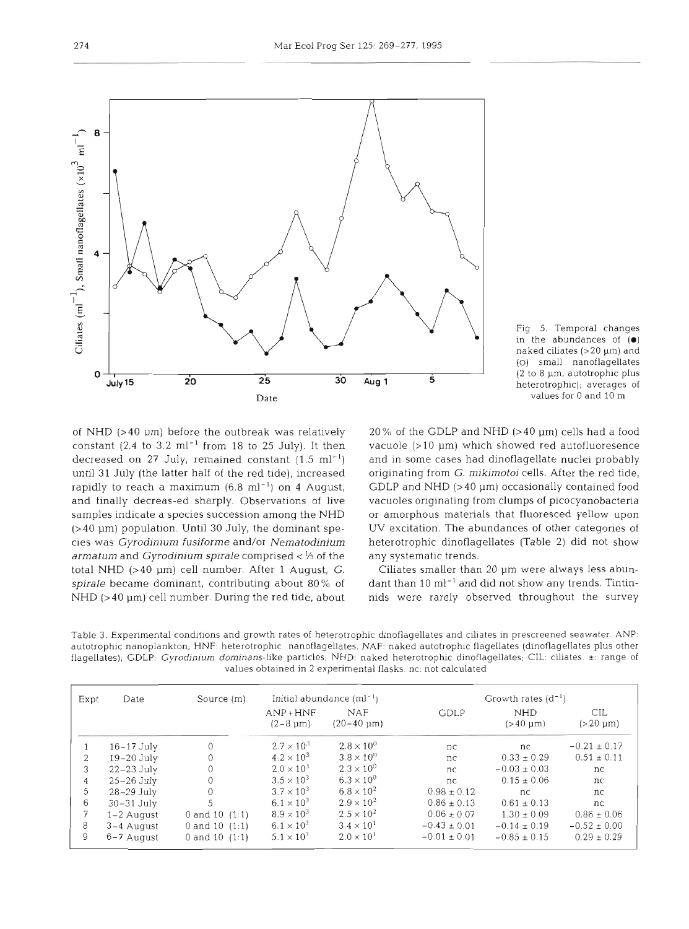



of NHD  $(>40 \mu m)$  before the outbreak was relatively constant (2.4 to 3.2  $ml^{-1}$  from 18 to 25 July). It then decreased on 27 July, remained constant  $(1.5 \text{ ml}^{-1})$ until **31** July (the latter half of the red tide), increased rapidly to reach a maximum  $(6.8 \text{ ml}^{-1})$  on 4 August, and finally decreas-ed sharply. Observations of live samples indicate a species succession among the NHD  $(>40 \mu m)$  population. Until 30 July, the dominant species was *Gyrodinium fusiforme* and/or *Nematodinium armatum* and *Gyrodinium spirale* comprised < % of the total NHD (>40 µm) cell number. After 1 August, G. *spirale* became dominant, contributing about 80 % of NHD  $(>40 \mu m)$  cell number. During the red tide, about

 $20\%$  of the GDLP and NHD (>40  $\mu$ m) cells had a food vacuole  $(>10 \mu m)$  which showed red autofluoresence and in some cases had dinoflagellate nuclei probably originating from *G. mikirnotoi* cells. After the red tide, GDLP and NHD  $(>40 \mu m)$  occasionally contained food vacuoles originating from clumps of picocyanobacteria or amorphous materials that fluoresced yellow upon UV excitation. The abundances of other categories of heterotrophic dinoflagellates (Table **2)** did not show any systematic trends.

Ciliates smaller than 20 pm were always less abundant than 10 ml<sup>-1</sup> and did not show any trends. Tintinnids were rarely observed throughout the survey

Table 3. Experimental conditions and growth rates of heterotrophic dinoflagellates and ciliates in prescreened seawater. ANP: autotrophic nanoplankton; HNF: heterotrophic nanoflagellates. NAF: naked autotrophic flagellates (dinoflagellates plus other flagellates); GDLP: Gyrodinium dominans-like particles; NHD: naked heterotrophic dinoflagellates; CIL: ciliates. ±: range of values obtained in 2 experimental flasks. nc: not calculated

| Expt | Date         | Source $(m)$     | Initial abundance $(ml^{-1})$ |                                             | Growth rates $(d^{-1})$ |                             |                      |
|------|--------------|------------------|-------------------------------|---------------------------------------------|-------------------------|-----------------------------|----------------------|
|      |              |                  | $AND+HNF$<br>$(2-8 \mu m)$    | <b>NAF</b><br>$(20-40 \text{ }\mu\text{m})$ | GDLP                    | <b>NHD</b><br>$(>40 \mu m)$ | CIL<br>$(>20 \mu m)$ |
|      | $16-17$ July | 0                | $2.7 \times 10^{3}$           | $2.8 \times 10^{3}$                         | nc                      | nc.                         | $-0.21 \pm 0.17$     |
| 2    | $19-20$ July | $\Omega$         | $4.2 \times 10^{3}$           | $3.8 \times 10^{0}$                         | nc                      | $0.33 \pm 0.29$             | $0.51 \pm 0.11$      |
| 3    | $22-23$ July | 0                | $2.0 \times 10^{3}$           | $2.3 \times 10^{0}$                         | nc                      | $-0.03 \pm 0.03$            | nc                   |
| 4    | $25-26$ July | 0                | $3.5 \times 10^{3}$           | $6.3 \times 10^{0}$                         | nc                      | $0.15 \pm 0.06$             | nc                   |
| 5    | $28-29$ July | $\theta$         | $3.7 \times 10^{3}$           | $6.8 \times 10^{2}$                         | $0.98 \pm 0.12$         | nc                          | nc                   |
| 6    | $30-31$ July | 5                | $6.1 \times 10^{3}$           | $2.9 \times 10^{2}$                         | $0.86 \pm 0.13$         | $0.61 \pm 0.13$             | nc                   |
|      | $1-2$ August | 0 and 10 $(1:1)$ | $8.9 \times 10^{3}$           | $2.5 \times 10^{2}$                         | $0.06 \pm 0.07$         | $1.30 \pm 0.09$             | $0.86 \pm 0.06$      |
| 8    | 3-4 August   | 0 and 10 $(1:1)$ | $6.1 \times 10^{3}$           | $3.4 \times 10^{1}$                         | $-0.43 \pm 0.01$        | $-0.14 \pm 0.19$            | $-0.52 \pm 0.00$     |
| 9    | 6-7 August   | 0 and 10 $(1:1)$ | $5.1 \times 10^{3}$           | $2.0 \times 10^{1}$                         | $-0.01 \pm 0.01$        | $-0.85 \pm 0.15$            | $0.29 \pm 0.29$      |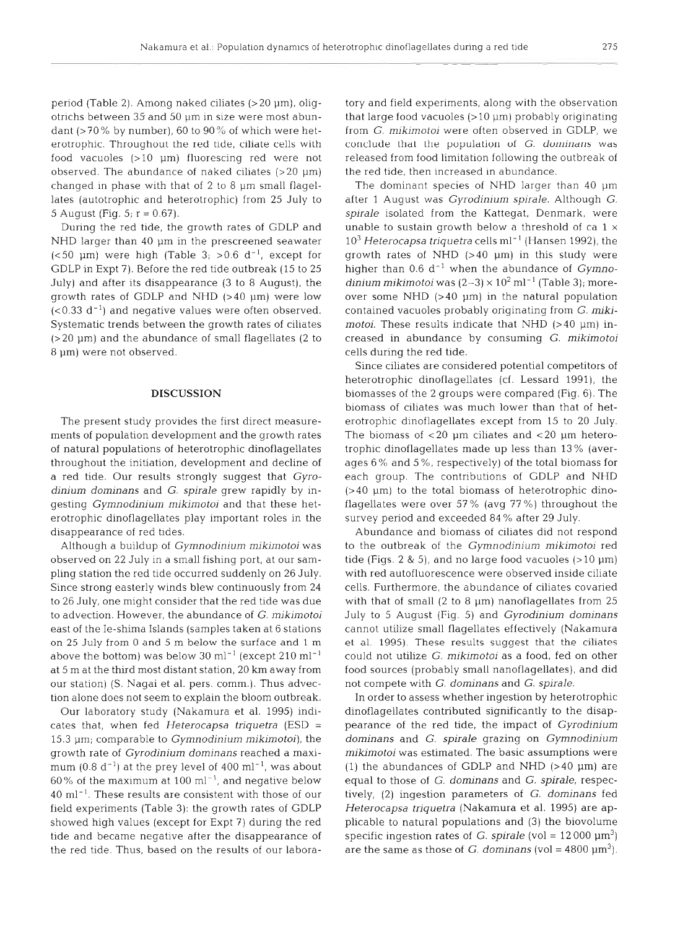period (Table 2). Among naked ciliates  $(>20 \mu m)$ , oligotrichs between 35- and 50 pm in size were most abundant (>70% by number), 60 to 90% of which were heterotrophic. Throughout the red tide, ciliate cells with food vacuoles  $(>10 \mu m)$  fluorescing red were not observed. The abundance of naked ciliates  $(>20 \mu m)$ changed in phase with that of  $2$  to  $8 \mu m$  small flagellates (autotrophic and heterotrophic) from 25 July to 5 August (Fig.  $5; r = 0.67$ ).

During the red tide, the growth rates of GDLP and NHD larger than  $40 \mu m$  in the prescreened seawater ( $<$  50 µm) were high (Table 3; >0.6 d<sup>-1</sup>, except for GDLP in Expt 7). Before the red tide outbreak (15 to 25 July) and after its disappearance (3 to 8 August), the growth rates of GDLP and NHD (>40 pm) were low  $( $0.33 \, d^{-1}$ )$  and negative values were often observed. Systematic trends between the growth rates of ciliates  $(>20 \mu m)$  and the abundance of small flagellates (2 to 8 pm) were not observed.

#### DISCUSSION

The present study provides the first direct measurements of population development and the growth rates of natural populations of heterotrophic dinoflagellates throughout the initiation, development and decline of a red tide. Our results strongly suggest that *Gyrodinium dominans* and *G. spirale* grew rapidly by ingesting *Gymnodinium mikimotoi* and that these heterotrophic dinoflagellates play important roles in the disappearance of red tides.

Although a buildup of *Gymnodinjum mikimotoi* was observed on 22 July in a small fishing port, at our sampling station the red tide occurred suddenly on 26 July. Since strong easterly winds blew continuously from 24 to 26 July, one might consider that the red tide was due to advection. However, the abundance of *G. mikimotoi*  east of the Ie-shima Islands (samples taken at 6 stations on 25 July from 0 and 5 m below the surface and 1 m above the bottom) was below 30 ml<sup>-1</sup> (except 210 ml<sup>-1</sup>) at 5 m at the third most distant station, 20 km away from our station) (S. Nagai et al. pers. comm.). Thus advection alone does not seem to explain the bloom outbreak.

Our laboratory study (Nakamura et al. 1995) indicates that, when fed *Heterocapsa triquetra* (ESD <sup>=</sup> 15.3 pm; comparable to *Gymnodinium mikimotoi),* the growth rate of *Gyrodinium dominans* reached a maximum (0.8  $d^{-1}$ ) at the prey level of 400 ml<sup>-1</sup>, was about 60% of the maximum at 100 ml<sup> $-1$ </sup>, and negative below 40 ml-l. These results are consistent with those of our field experiments (Table 3): the growth rates of GDLP showed high values (except for Expt 7) during the red tide and became negative after the disappearance of the red tide. Thus, based on the results of our laboratory and field experiments, along with the observation<br>that large food vacuoles  $(>10 \text{ }\mu\text{m})$  probably originating<br>from *G. mikimotoi* were often observed in GDLP, we<br>conclude that the population of *G. dominans* was<br>r

10<sup>3</sup> Heterocapsa triquetra cells ml<sup>-1</sup> (Hansen 1992), the growth rates of NHD (>40 µm) in this study were higher than 0.6 d<sup>-1</sup> when the abundance of *Gymnodinium mikimotoi* was (2-3) × 10<sup>2</sup> ml<sup>-1</sup> (Table 3); moreover

cells during the red tide.<br>
Since ciliates are considered potential competitors of<br>
heterotrophic dinoflagellates (cf. Lessard 1991), the<br>
biomasses of the 2 groups were compared (Fig. 6). The<br>
biomasses of ciliates was m

cannot utilize small flagellates effectively (Nakamura et al. 1995). These results suggest that the ciliates could not utilize  $G$ . *mikimotoi* as a food, fed on other food sources (probably small nanoflagellates), and di

In order to assess whether ingestion by heterotrophic<br>dinoflagellates contributed significantly to the disap-<br>pearance of the red tide, the impact of *Gyrodinium*<br>dominans and *G. spirale* grazing on *Gymnodinium*<br>mikimot *Heterocapsa triquetra* (Nakamura et al. 1995) are applicable to natural populations and (3) the biovolume specific ingestion rates of *G. spirale* (vol =  $12\,000 \, \text{µm}^3$ ) are the same as those of *G. dominans* (vol =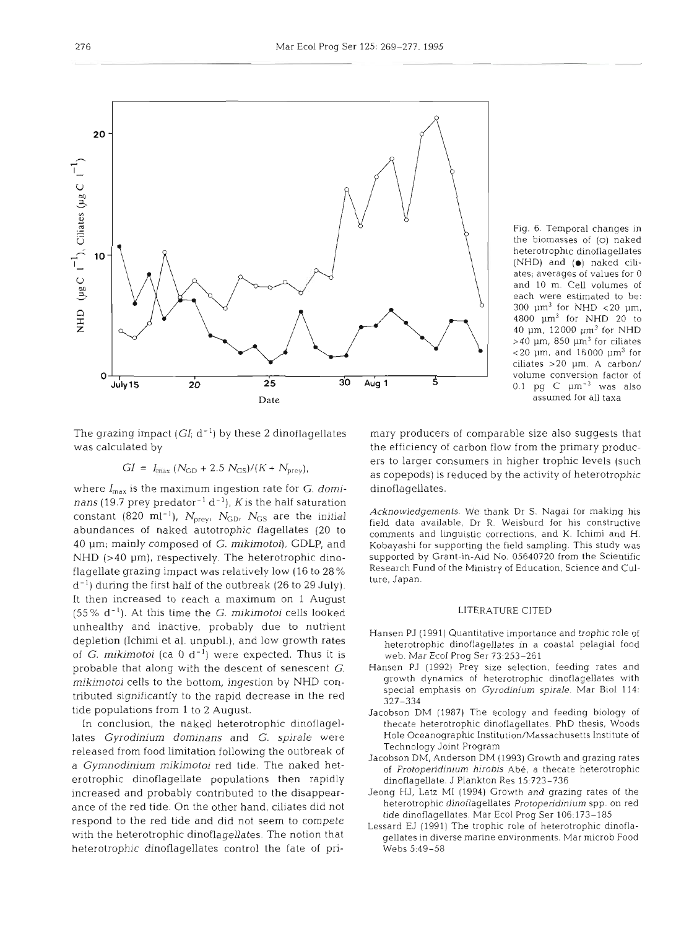

Fig. 6. Temporal changes in the biomasses of (0) naked heterotrophic dinoflagellates (NHD) and **(a)** naked ciliates; averages of values for 0 and 10 m. Cell volumes of each were estimated to be: 300  $\mu$ m<sup>3</sup> for NHD <20  $\mu$ m, 4800 pm3 for NHD 20 to 40  $\mu$ m, 12000  $\mu$ m<sup>3</sup> for NHD  $>40$  µm, 850 µm<sup>3</sup> for ciliates  $<$  20  $\mu$ m, and 16000  $\mu$ m<sup>3</sup> for ciliates >20 pm. A carbon/ volume conversion factor of 0.1 pg  $C$   $\mu$ m<sup>-3</sup> was also assumed for all taxa

was calculated by the efficiency of carbon flow from the primary produc-

$$
GI = I_{\text{max}} (N_{\text{GD}} + 2.5 N_{\text{GS}})/(K + N_{\text{prey}}),
$$

where  $I_{\text{max}}$  is the maximum ingestion rate for *G. domi*- dinoflagellates. *nans* (19.7 prey predator<sup>-1</sup> d<sup>-1</sup>), *K* is the half saturation<br>constant (820 ml<sup>-1</sup>), *N<sub>1</sub>*, *N<sub>12</sub>*, *N<sub>12</sub>*, are the initial Acknowledgements. We thank Dr S. Nagai for making his constant (820 ml<sup>-1</sup>),  $N_{\text{prey}}$ ,  $N_{\text{GD}}$ ,  $N_{\text{GD}}$ ,  $N_{\text{GD}}$ , are the initial constant abundances of naked autotrophic flagellates (20 to field data available, Dr R. Weisburd for his constructive comments and lingui NHD (>40 µm), respectively. The heterotrophic dino- supported by Grant-in-Aid No. 05640720 from the Scientific<br>flagellate grazing impact was relatively low (16 to 28% Research Fund of the Ministry of Education, Science and flagellate grazing impact was relatively low (16 to 28 % Research Fund of the Minister of the Minister and Cul $d^{-1}$ ) during the first half of the outbreak (26 to 29 July). It then increased to reach a maximum on 1 August (55% d-l). At this time the G. *mikimotoi* cells looked LITERATURE CITED unhealthy and inactive, probably due to nutrient<br>
Hansen PJ (1991) Quantitative importance and trophic role of depletion (Ichimi et al. unpubl.), and low growth rates of *G. mikimotoi* (ca  $0 \, d^{-1}$ ) were expected. Thus it is probable that along with the descent of senescent G. Hansen PJ (1992) Prey size selection, feeding rates and *mikimotoi* cells to the bottom, ingestion by NHD contributed significantly to the rapid decrease in the red tide populations from 1 to 2 August.

In conclusion, the naked heterotrophic dinoflagellates *Gyrodinium dominans* and *G. spirale* were released from food limitation following the outbreak of a *Gymnodiniurn mikimotoi* red tide. The naked heterotrophic dinoflagellate populations then rapidly increased and probably contributed to the disappearance of the red tide. On the other hand, ciliates did not respond to the red tide and did not seem to compete<br>Lessard EJ (1991) The trophic role of heterotrophic dinoflawith the heterotrophic dinoflagellates. The notion that heterotrophic dinoflagellates control the fate of pri-

The grazing impact  $(GI; d^{-1})$  by these 2 dinoflagellates mary producers of comparable size also suggests that ers to larger consumers in higher trophic levels (such as copepods) is reduced by the activity of heterotrophic

Kobayashi for supporting the field sampling. This study was<br>supported by Grant-in-Aid No. 05640720 from the Scientific

- 
- sen PJ (1991) Quantitative importance and trophic role of<br>eterotrophic dinoflagellates in a coastal pelagial food<br>web. Mar Ecol Prog Ser 73:253–261<br>sen PJ (1992) Prey size selection, feeding rates and<br>rrowth dynamics of he
- 
- 
- 
-